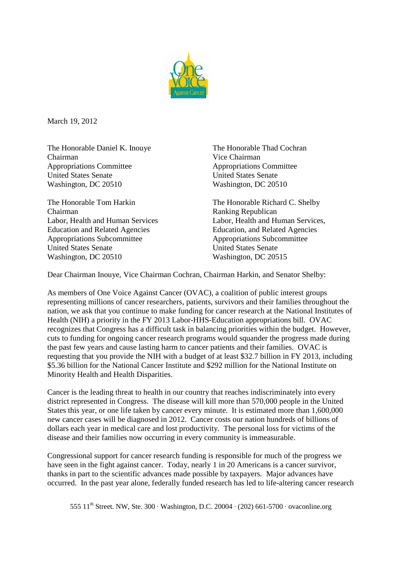

March 19, 2012

The Honorable Daniel K. Inouye The Honorable Thad Cochran Chairman Vice Chairman Appropriations Committee Appropriations Committee United States Senate United States Senate Washington, DC 20510 Washington, DC 20510

The Honorable Tom Harkin The Honorable Richard C. Shelby Chairman Ranking Republican Education and Related Agencies Education, and Related Agencies Appropriations Subcommittee Appropriations Subcommittee United States Senate United States Senate Washington, DC 20510 Washington, DC 20515

Labor, Health and Human Services Labor, Health and Human Services,

Dear Chairman Inouye, Vice Chairman Cochran, Chairman Harkin, and Senator Shelby:

As members of One Voice Against Cancer (OVAC), a coalition of public interest groups representing millions of cancer researchers, patients, survivors and their families throughout the nation, we ask that you continue to make funding for cancer research at the National Institutes of Health (NIH) a priority in the FY 2013 Labor-HHS-Education appropriations bill. OVAC recognizes that Congress has a difficult task in balancing priorities within the budget. However, cuts to funding for ongoing cancer research programs would squander the progress made during the past few years and cause lasting harm to cancer patients and their families. OVAC is requesting that you provide the NIH with a budget of at least \$32.7 billion in FY 2013, including \$5.36 billion for the National Cancer Institute and \$292 million for the National Institute on Minority Health and Health Disparities.

Cancer is the leading threat to health in our country that reaches indiscriminately into every district represented in Congress. The disease will kill more than 570,000 people in the United States this year, or one life taken by cancer every minute. It is estimated more than 1,600,000 new cancer cases will be diagnosed in 2012. Cancer costs our nation hundreds of billions of dollars each year in medical care and lost productivity. The personal loss for victims of the disease and their families now occurring in every community is immeasurable.

Congressional support for cancer research funding is responsible for much of the progress we have seen in the fight against cancer. Today, nearly 1 in 20 Americans is a cancer survivor, thanks in part to the scientific advances made possible by taxpayers. Major advances have occurred. In the past year alone, federally funded research has led to life-altering cancer research

555  $11<sup>th</sup>$  Street. NW, Ste. 300 · Washington, D.C. 20004 · (202) 661-5700 · ovaconline.org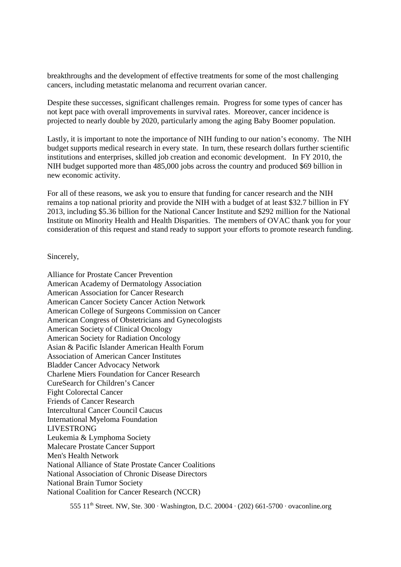breakthroughs and the development of effective treatments for some of the most challenging cancers, including metastatic melanoma and recurrent ovarian cancer.

Despite these successes, significant challenges remain. Progress for some types of cancer has not kept pace with overall improvements in survival rates. Moreover, cancer incidence is projected to nearly double by 2020, particularly among the aging Baby Boomer population.

Lastly, it is important to note the importance of NIH funding to our nation's economy. The NIH budget supports medical research in every state. In turn, these research dollars further scientific institutions and enterprises, skilled job creation and economic development. In FY 2010, the NIH budget supported more than 485,000 jobs across the country and produced \$69 billion in new economic activity.

For all of these reasons, we ask you to ensure that funding for cancer research and the NIH remains a top national priority and provide the NIH with a budget of at least \$32.7 billion in FY 2013, including \$5.36 billion for the National Cancer Institute and \$292 million for the National Institute on Minority Health and Health Disparities. The members of OVAC thank you for your consideration of this request and stand ready to support your efforts to promote research funding.

Sincerely,

Alliance for Prostate Cancer Prevention American Academy of Dermatology Association American Association for Cancer Research American Cancer Society Cancer Action Network American College of Surgeons Commission on Cancer American Congress of Obstetricians and Gynecologists American Society of Clinical Oncology American Society for Radiation Oncology Asian & Pacific Islander American Health Forum Association of American Cancer Institutes Bladder Cancer Advocacy Network Charlene Miers Foundation for Cancer Research CureSearch for Children's Cancer Fight Colorectal Cancer Friends of Cancer Research Intercultural Cancer Council Caucus International Myeloma Foundation LIVESTRONG Leukemia & Lymphoma Society Malecare Prostate Cancer Support Men's Health Network National Alliance of State Prostate Cancer Coalitions National Association of Chronic Disease Directors National Brain Tumor Society National Coalition for Cancer Research (NCCR)

555  $11<sup>th</sup>$  Street. NW, Ste. 300 · Washington, D.C. 20004 · (202) 661-5700 · ovaconline.org